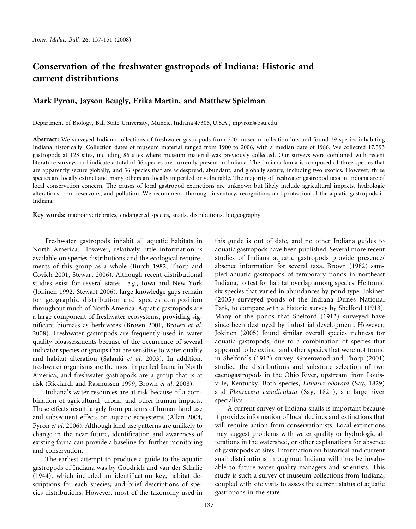# **Conservation of the freshwater gastropods of Indiana: Historic and current distributions**

# **Mark Pyron, Jayson Beugly, Erika Martin, and Matthew Spielman**

Department of Biology, Ball State University, Muncie, Indiana 47306, U.S.A., mpyron@bsu.edu

**Abstract:** We surveyed Indiana collections of freshwater gastropods from 220 museum collection lots and found 39 species inhabiting Indiana historically. Collection dates of museum material ranged from 1900 to 2006, with a median date of 1986. We collected 17,593 gastropods at 123 sites, including 86 sites where museum material was previously collected. Our surveys were combined with recent literature surveys and indicate a total of 36 species are currently present in Indiana. The Indiana fauna is composed of three species that are apparently secure globally, and 36 species that are widespread, abundant, and globally secure, including two exotics. However, three species are locally extinct and many others are locally imperiled or vulnerable. The majority of freshwater gastropod taxa in Indiana are of local conservation concern. The causes of local gastropod extinctions are unknown but likely include agricultural impacts, hydrologic alterations from reservoirs, and pollution. We recommend thorough inventory, recognition, and protection of the aquatic gastropods in Indiana.

**Key words:** macroinvertebrates, endangered species, snails, distributions, biogeography

Freshwater gastropods inhabit all aquatic habitats in North America. However, relatively little information is available on species distributions and the ecological requirements of this group as a whole (Burch 1982, Thorp and Covich 2001, Stewart 2006). Although recent distributional studies exist for several states—*e.g*., Iowa and New York (Jokinen 1992, Stewart 2006), large knowledge gaps remain for geographic distribution and species composition throughout much of North America. Aquatic gastropods are a large component of freshwater ecosystems, providing significant biomass as herbivores (Brown 2001, Brown *et al.* 2008). Freshwater gastropods are frequently used in water quality bioassessments because of the occurrence of several indicator species or groups that are sensitive to water quality and habitat alteration (Salanki *et al*. 2003). In addition, freshwater organisms are the most imperiled fauna in North America, and freshwater gastropods are a group that is at risk (Ricciardi and Rasmussen 1999, Brown *et al*. 2008).

Indiana's water resources are at risk because of a combination of agricultural, urban, and other human impacts. These effects result largely from patterns of human land use and subsequent effects on aquatic ecosystems (Allan 2004, Pyron *et al.* 2006). Although land use patterns are unlikely to change in the near future, identification and awareness of existing fauna can provide a baseline for further monitoring and conservation.

The earliest attempt to produce a guide to the aquatic gastropods of Indiana was by Goodrich and van der Schalie (1944), which included an identification key, habitat descriptions for each species, and brief descriptions of species distributions. However, most of the taxonomy used in

this guide is out of date, and no other Indiana guides to aquatic gastropods have been published. Several more recent studies of Indiana aquatic gastropods provide presence/ absence information for several taxa. Brown (1982) sampled aquatic gastropods of temporary ponds in northeast Indiana, to test for habitat overlap among species. He found six species that varied in abundances by pond type. Jokinen (2005) surveyed ponds of the Indiana Dunes National Park, to compare with a historic survey by Shelford (1913). Many of the ponds that Shelford (1913) surveyed have since been destroyed by industrial development. However, Jokinen (2005) found similar overall species richness for aquatic gastropods, due to a combination of species that appeared to be extinct and other species that were not found in Shelford's (1913) survey. Greenwood and Thorp (2001) studied the distributions and substrate selection of two caenogastropods in the Ohio River, upstream from Louisville, Kentucky. Both species, *Lithasia obovata* (Say, 1829) and *Pleurocera canaliculata* (Say, 1821), are large river specialists.

A current survey of Indiana snails is important because it provides information of local declines and extinctions that will require action from conservationists. Local extinctions may suggest problems with water quality or hydrologic alterations in the watershed, or other explanations for absence of gastropods at sites. Information on historical and current snail distributions throughout Indiana will thus be invaluable to future water quality managers and scientists. This study is such a survey of museum collections from Indiana, coupled with site visits to assess the current status of aquatic gastropods in the state.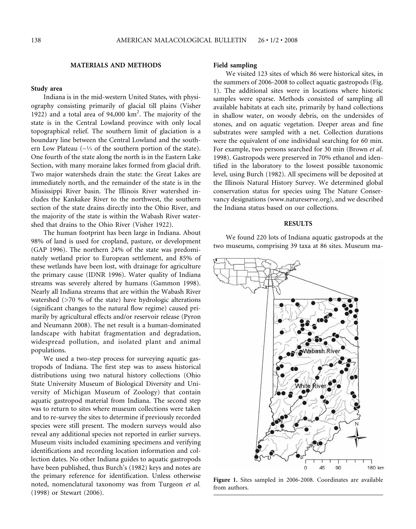# **MATERIALS AND METHODS**

# **Study area**

Indiana is in the mid-western United States, with physiography consisting primarily of glacial till plains (Visher 1922) and a total area of 94,000 km2 . The majority of the state is in the Central Lowland province with only local topographical relief. The southern limit of glaciation is a boundary line between the Central Lowland and the southern Low Plateau (∼1⁄3 of the southern portion of the state). One fourth of the state along the north is in the Eastern Lake Section, with many moraine lakes formed from glacial drift. Two major watersheds drain the state: the Great Lakes are immediately north, and the remainder of the state is in the Mississippi River basin. The Illinois River watershed includes the Kankakee River to the northwest, the southern section of the state drains directly into the Ohio River, and the majority of the state is within the Wabash River watershed that drains to the Ohio River (Visher 1922).

The human footprint has been large in Indiana. About 98% of land is used for cropland, pasture, or development (GAP 1996). The northern 24% of the state was predominately wetland prior to European settlement, and 85% of these wetlands have been lost, with drainage for agriculture the primary cause (IDNR 1996). Water quality of Indiana streams was severely altered by humans (Gammon 1998). Nearly all Indiana streams that are within the Wabash River watershed (>70 % of the state) have hydrologic alterations (significant changes to the natural flow regime) caused primarily by agricultural effects and/or reservoir release (Pyron and Neumann 2008). The net result is a human-dominated landscape with habitat fragmentation and degradation, widespread pollution, and isolated plant and animal populations.

We used a two-step process for surveying aquatic gastropods of Indiana. The first step was to assess historical distributions using two natural history collections (Ohio State University Museum of Biological Diversity and University of Michigan Museum of Zoology) that contain aquatic gastropod material from Indiana. The second step was to return to sites where museum collections were taken and to re-survey the sites to determine if previously recorded species were still present. The modern surveys would also reveal any additional species not reported in earlier surveys. Museum visits included examining specimens and verifying identifications and recording location information and collection dates. No other Indiana guides to aquatic gastropods have been published, thus Burch's (1982) keys and notes are the primary reference for identification. Unless otherwise noted, nomenclatural taxonomy was from Turgeon *et al.* (1998) or Stewart (2006).

# **Field sampling**

We visited 123 sites of which 86 were historical sites, in the summers of 2006-2008 to collect aquatic gastropods (Fig. 1). The additional sites were in locations where historic samples were sparse. Methods consisted of sampling all available habitats at each site, primarily by hand collections in shallow water, on woody debris, on the undersides of stones, and on aquatic vegetation. Deeper areas and fine substrates were sampled with a net. Collection durations were the equivalent of one individual searching for 60 min. For example, two persons searched for 30 min (Brown *et al*. 1998). Gastropods were preserved in 70% ethanol and identified in the laboratory to the lowest possible taxonomic level, using Burch (1982). All specimens will be deposited at the Illinois Natural History Survey. We determined global conservation status for species using The Nature Conservancy designations (www.natureserve.org), and we described the Indiana status based on our collections.

# **RESULTS**

We found 220 lots of Indiana aquatic gastropods at the two museums, comprising 39 taxa at 86 sites. Museum ma-



**Figure 1.** Sites sampled in 2006-2008. Coordinates are available from authors.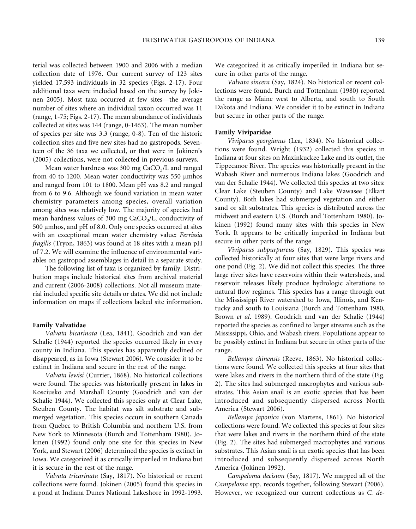terial was collected between 1900 and 2006 with a median collection date of 1976. Our current survey of 123 sites yielded 17,593 individuals in 32 species (Figs. 2-17). Four additional taxa were included based on the survey by Jokinen 2005). Most taxa occurred at few sites—the average number of sites where an individual taxon occurred was 11 (range, 1-75; Figs. 2-17). The mean abundance of individuals collected at sites was 144 (range, 0-1463). The mean number of species per site was 3.3 (range, 0-8). Ten of the historic collection sites and five new sites had no gastropods. Seventeen of the 36 taxa we collected, or that were in Jokinen's (2005) collections, were not collected in previous surveys.

Mean water hardness was 300 mg  $CaCO<sub>3</sub>/L$  and ranged from 40 to 1200. Mean water conductivity was 550 µmhos and ranged from 101 to 1800. Mean pH was 8.2 and ranged from 6 to 9.6. Although we found variation in mean water chemistry parameters among species, overall variation among sites was relatively low. The majority of species had mean hardness values of 300 mg  $CaCO<sub>3</sub>/L$ , conductivity of 500 µmhos, and pH of 8.0. Only one species occurred at sites with an exceptional mean water chemistry value: *Ferrissia fragilis* (Tryon, 1863) was found at 18 sites with a mean pH of 7.2. We will examine the influence of environmental variables on gastropod assemblages in detail in a separate study.

The following list of taxa is organized by family. Distribution maps include historical sites from archival material and current (2006-2008) collections. Not all museum material included specific site details or dates. We did not include information on maps if collections lacked site information.

# **Family Valvatidae**

*Valvata bicarinata* (Lea, 1841). Goodrich and van der Schalie (1944) reported the species occurred likely in every county in Indiana. This species has apparently declined or disappeared, as in Iowa (Stewart 2006). We consider it to be extinct in Indiana and secure in the rest of the range.

*Valvata lewisi* (Currier, 1868). No historical collections were found. The species was historically present in lakes in Kosciusko and Marshall County (Goodrich and van der Schalie 1944). We collected this species only at Clear Lake, Steuben County. The habitat was silt substrate and submerged vegetation. This species occurs in southern Canada from Quebec to British Columbia and northern U.S. from New York to Minnesota (Burch and Tottenham 1980). Jokinen (1992) found only one site for this species in New York, and Stewart (2006) determined the species is extinct in Iowa. We categorized it as critically imperiled in Indiana but it is secure in the rest of the range.

*Valvata tricarinata* (Say, 1817). No historical or recent collections were found. Jokinen (2005) found this species in a pond at Indiana Dunes National Lakeshore in 1992-1993. We categorized it as critically imperiled in Indiana but secure in other parts of the range.

*Valvata sincera* (Say, 1824). No historical or recent collections were found. Burch and Tottenham (1980) reported the range as Maine west to Alberta, and south to South Dakota and Indiana. We consider it to be extinct in Indiana but secure in other parts of the range.

#### **Family Viviparidae**

*Viviparus georgianus* (Lea, 1834). No historical collections were found. Wright (1932) collected this species in Indiana at four sites on Maxinkuckee Lake and its outlet, the Tippecanoe River. The species was historically present in the Wabash River and numerous Indiana lakes (Goodrich and van der Schalie 1944). We collected this species at two sites: Clear Lake (Steuben County) and Lake Wawasee (Elkart County). Both lakes had submerged vegetation and either sand or silt substrates. This species is distributed across the midwest and eastern U.S. (Burch and Tottenham 1980). Jokinen (1992) found many sites with this species in New York. It appears to be critically imperiled in Indiana but secure in other parts of the range.

*Viviparus subpurpureus* (Say, 1829). This species was collected historically at four sites that were large rivers and one pond (Fig. 2). We did not collect this species. The three large river sites have reservoirs within their watersheds, and reservoir releases likely produce hydrologic alterations to natural flow regimes. This species has a range through out the Mississippi River watershed to Iowa, Illinois, and Kentucky and south to Louisiana (Burch and Tottenham 1980, Brown *et al*. 1989). Goodrich and van der Schalie (1944) reported the species as confined to larger streams such as the Mississippi, Ohio, and Wabash rivers. Populations appear to be possibly extinct in Indiana but secure in other parts of the range.

*Bellamya chinensis* (Reeve, 1863). No historical collections were found. We collected this species at four sites that were lakes and rivers in the northern third of the state (Fig. 2). The sites had submerged macrophytes and various substrates. This Asian snail is an exotic species that has been introduced and subsequently dispersed across North America (Stewart 2006).

*Bellamya japonica* (von Martens, 1861). No historical collections were found. We collected this species at four sites that were lakes and rivers in the northern third of the state (Fig. 2). The sites had submerged macrophytes and various substrates. This Asian snail is an exotic species that has been introduced and subsequently dispersed across North America (Jokinen 1992).

*Campeloma decisum* (Say, 1817). We mapped all of the *Campeloma* spp. records together, following Stewart (2006). However, we recognized our current collections as *C. de-*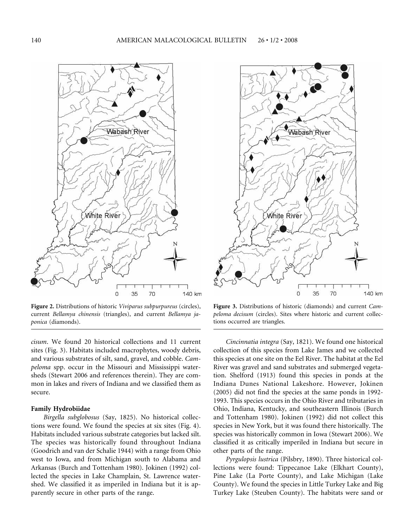

**Figure 2.** Distributions of historic *Viviparus subpurpureus* (circles), current *Bellamya chinensis* (triangles), and current *Bellamya japonica* (diamonds).

*cisum*. We found 20 historical collections and 11 current sites (Fig. 3). Habitats included macrophytes, woody debris, and various substrates of silt, sand, gravel, and cobble. *Campeloma* spp. occur in the Missouri and Mississippi watersheds (Stewart 2006 and references therein). They are common in lakes and rivers of Indiana and we classified them as secure.

#### **Family Hydrobiidae**

*Birgella subglobosus* (Say, 1825). No historical collections were found. We found the species at six sites (Fig. 4). Habitats included various substrate categories but lacked silt. The species was historically found throughout Indiana (Goodrich and van der Schalie 1944) with a range from Ohio west to Iowa, and from Michigan south to Alabama and Arkansas (Burch and Tottenham 1980). Jokinen (1992) collected the species in Lake Champlain, St. Lawrence watershed. We classified it as imperiled in Indiana but it is apparently secure in other parts of the range.



**Figure 3.** Distributions of historic (diamonds) and current *Campeloma decisum* (circles). Sites where historic and current collections occurred are triangles.

*Cincinnatia integra* (Say, 1821). We found one historical collection of this species from Lake James and we collected this species at one site on the Eel River. The habitat at the Eel River was gravel and sand substrates and submerged vegetation. Shelford (1913) found this species in ponds at the Indiana Dunes National Lakeshore. However, Jokinen (2005) did not find the species at the same ponds in 1992- 1993. This species occurs in the Ohio River and tributaries in Ohio, Indiana, Kentucky, and southeastern Illinois (Burch and Tottenham 1980). Jokinen (1992) did not collect this species in New York, but it was found there historically. The species was historically common in Iowa (Stewart 2006). We classified it as critically imperiled in Indiana but secure in other parts of the range.

*Pyrgulopsis lustrica* (Pilsbry, 1890). Three historical collections were found: Tippecanoe Lake (Elkhart County), Pine Lake (La Porte County), and Lake Michigan (Lake County). We found the species in Little Turkey Lake and Big Turkey Lake (Steuben County). The habitats were sand or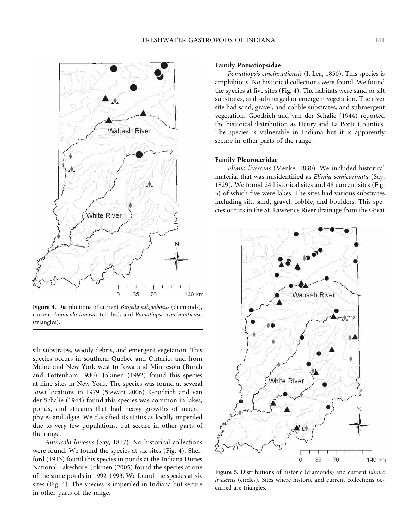

**Figure 4.** Distributions of current *Birgella subglobosus* (diamonds), current *Amnicola limosus* (circles), and *Pomatiopsis cincinnatiensis* (triangles).

silt substrates, woody debris, and emergent vegetation. This species occurs in southern Quebec and Ontario, and from Maine and New York west to Iowa and Minnesota (Burch and Tottenham 1980). Jokinen (1992) found this species at nine sites in New York. The species was found at several Iowa locations in 1979 (Stewart 2006). Goodrich and van der Schalie (1944) found this species was common in lakes, ponds, and streams that had heavy growths of macrophytes and algae. We classified its status as locally imperiled due to very few populations, but secure in other parts of the range.

*Amnicola limosus* (Say, 1817). No historical collections were found. We found the species at six sites (Fig. 4). Shelford (1913) found this species in ponds at the Indiana Dunes National Lakeshore. Jokinen (2005) found the species at one of the same ponds in 1992-1993. We found the species at six sites (Fig. 4). The species is imperiled in Indiana but secure in other parts of the range.

#### **Family Pomatiopsidae**

*Pomatiopsis cincinnatiensis* (I. Lea, 1850). This species is amphibious. No historical collections were found. We found the species at five sites (Fig. 4). The habitats were sand or silt substrates, and submerged or emergent vegetation. The river site had sand, gravel, and cobble substrates, and submergent vegetation. Goodrich and van der Schalie (1944) reported the historical distribution as Henry and La Porte Counties. The species is vulnerable in Indiana but it is apparently secure in other parts of the range.

# **Family Pleuroceridae**

*Elimia livescens* (Menke, 1830). We included historical material that was misidentified as *Elimia semicarinata* (Say, 1829). We found 24 historical sites and 48 current sites (Fig. 5) of which five were lakes. The sites had various substrates including silt, sand, gravel, cobble, and boulders. This species occurs in the St. Lawrence River drainage from the Great



**Figure 5.** Distributions of historic (diamonds) and current *Elimia livescens* (circles). Sites where historic and current collections occurred are triangles.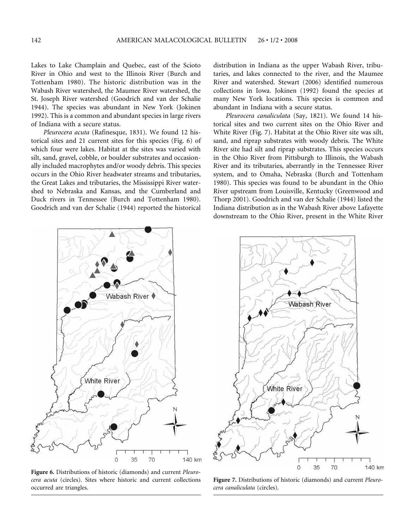Lakes to Lake Champlain and Quebec, east of the Scioto River in Ohio and west to the Illinois River (Burch and Tottenham 1980). The historic distribution was in the Wabash River watershed, the Maumee River watershed, the St. Joseph River watershed (Goodrich and van der Schalie 1944). The species was abundant in New York (Jokinen 1992). This is a common and abundant species in large rivers of Indiana with a secure status.

*Pleurocera acuta* (Rafinesque, 1831). We found 12 historical sites and 21 current sites for this species (Fig. 6) of which four were lakes. Habitat at the sites was varied with silt, sand, gravel, cobble, or boulder substrates and occasionally included macrophytes and/or woody debris. This species occurs in the Ohio River headwater streams and tributaries, the Great Lakes and tributaries, the Mississippi River watershed to Nebraska and Kansas, and the Cumberland and Duck rivers in Tennessee (Burch and Tottenham 1980). Goodrich and van der Schalie (1944) reported the historical distribution in Indiana as the upper Wabash River, tributaries, and lakes connected to the river, and the Maumee River and watershed. Stewart (2006) identified numerous collections in Iowa. Jokinen (1992) found the species at many New York locations. This species is common and abundant in Indiana with a secure status.

*Pleurocera canaliculata* (Say, 1821). We found 14 historical sites and two current sites on the Ohio River and White River (Fig. 7). Habitat at the Ohio River site was silt, sand, and riprap substrates with woody debris. The White River site had silt and riprap substrates. This species occurs in the Ohio River from Pittsburgh to Illinois, the Wabash River and its tributaries, aberrantly in the Tennessee River system, and to Omaha, Nebraska (Burch and Tottenham 1980). This species was found to be abundant in the Ohio River upstream from Louisville, Kentucky (Greenwood and Thorp 2001). Goodrich and van der Schalie (1944) listed the Indiana distribution as in the Wabash River above Lafayette downstream to the Ohio River, present in the White River



**Figure 6.** Distributions of historic (diamonds) and current *Pleurocera acuta* (circles). Sites where historic and current collections occurred are triangles.



**Figure 7.** Distributions of historic (diamonds) and current *Pleurocera canaliculata* (circles).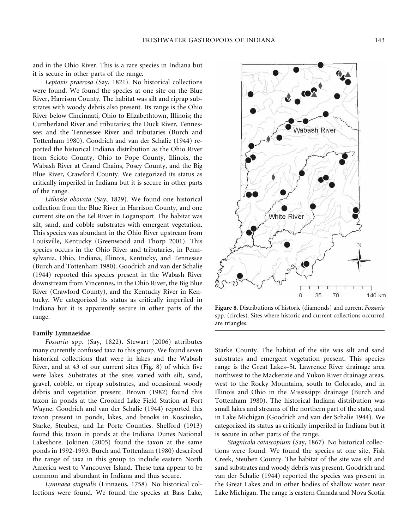and in the Ohio River. This is a rare species in Indiana but it is secure in other parts of the range.

*Leptoxis praerosa* (Say, 1821). No historical collections were found. We found the species at one site on the Blue River, Harrison County. The habitat was silt and riprap substrates with woody debris also present. Its range is the Ohio River below Cincinnati, Ohio to Elizabethtown, Illinois; the Cumberland River and tributaries; the Duck River, Tennessee; and the Tennessee River and tributaries (Burch and Tottenham 1980). Goodrich and van der Schalie (1944) reported the historical Indiana distribution as the Ohio River from Scioto County, Ohio to Pope County, Illinois, the Wabash River at Grand Chains, Posey County, and the Big Blue River, Crawford County. We categorized its status as critically imperiled in Indiana but it is secure in other parts of the range.

*Lithasia obovata* (Say, 1829). We found one historical collection from the Blue River in Harrison County, and one current site on the Eel River in Logansport. The habitat was silt, sand, and cobble substrates with emergent vegetation. This species was abundant in the Ohio River upstream from Louisville, Kentucky (Greenwood and Thorp 2001). This species occurs in the Ohio River and tributaries, in Pennsylvania, Ohio, Indiana, Illinois, Kentucky, and Tennessee (Burch and Tottenham 1980). Goodrich and van der Schalie (1944) reported this species present in the Wabash River downstream from Vincennes, in the Ohio River, the Big Blue River (Crawford County), and the Kentucky River in Kentucky. We categorized its status as critically imperiled in Indiana but it is apparently secure in other parts of the range.

# **Family Lymnaeidae**

*Fossaria* spp. (Say, 1822). Stewart (2006) attributes many currently confused taxa to this group. We found seven historical collections that were in lakes and the Wabash River, and at 43 of our current sites (Fig. 8) of which five were lakes. Substrates at the sites varied with silt, sand, gravel, cobble, or riprap substrates, and occasional woody debris and vegetation present. Brown (1982) found this taxon in ponds at the Crooked Lake Field Station at Fort Wayne. Goodrich and van der Schalie (1944) reported this taxon present in ponds, lakes, and brooks in Kosciusko, Starke, Steuben, and La Porte Counties. Shelford (1913) found this taxon in ponds at the Indiana Dunes National Lakeshore. Jokinen (2005) found the taxon at the same ponds in 1992-1993. Burch and Tottenham (1980) described the range of taxa in this group to include eastern North America west to Vancouver Island. These taxa appear to be common and abundant in Indiana and thus secure.

*Lymnaea stagnalis* (Linnaeus, 1758). No historical collections were found. We found the species at Bass Lake,

**Figure 8.** Distributions of historic (diamonds) and current *Fossaria* spp. (circles). Sites where historic and current collections occurred are triangles.

Starke County. The habitat of the site was silt and sand substrates and emergent vegetation present. This species range is the Great Lakes–St. Lawrence River drainage area northwest to the Mackenzie and Yukon River drainage areas, west to the Rocky Mountains, south to Colorado, and in Illinois and Ohio in the Mississippi drainage (Burch and Tottenham 1980). The historical Indiana distribution was small lakes and streams of the northern part of the state, and in Lake Michigan (Goodrich and van der Schalie 1944). We categorized its status as critically imperiled in Indiana but it is secure in other parts of the range.

*Stagnicola catascopium* (Say, 1867). No historical collections were found. We found the species at one site, Fish Creek, Steuben County. The habitat of the site was silt and sand substrates and woody debris was present. Goodrich and van der Schalie (1944) reported the species was present in the Great Lakes and in other bodies of shallow water near Lake Michigan. The range is eastern Canada and Nova Scotia

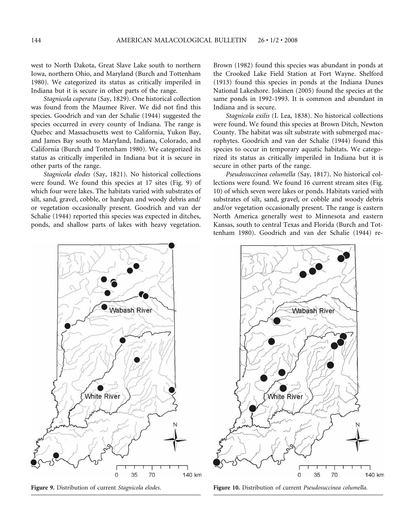west to North Dakota, Great Slave Lake south to northern Iowa, northern Ohio, and Maryland (Burch and Tottenham 1980). We categorized its status as critically imperiled in Indiana but it is secure in other parts of the range.

*Stagnicola caperata* (Say, 1829). One historical collection was found from the Maumee River. We did not find this species. Goodrich and van der Schalie (1944) suggested the species occurred in every county of Indiana. The range is Quebec and Massachusetts west to California, Yukon Bay, and James Bay south to Maryland, Indiana, Colorado, and California (Burch and Tottenham 1980). We categorized its status as critically imperiled in Indiana but it is secure in other parts of the range.

*Stagnicola elodes* (Say, 1821). No historical collections were found. We found this species at 17 sites (Fig. 9) of which four were lakes. The habitats varied with substrates of silt, sand, gravel, cobble, or hardpan and woody debris and/ or vegetation occasionally present. Goodrich and van der Schalie (1944) reported this species was expected in ditches, ponds, and shallow parts of lakes with heavy vegetation.

Brown (1982) found this species was abundant in ponds at the Crooked Lake Field Station at Fort Wayne. Shelford (1913) found this species in ponds at the Indiana Dunes National Lakeshore. Jokinen (2005) found the species at the same ponds in 1992-1993. It is common and abundant in Indiana and is secure.

*Stagnicola exilis* (I. Lea, 1838). No historical collections were found. We found this species at Brown Ditch, Newton County. The habitat was silt substrate with submerged macrophytes. Goodrich and van der Schalie (1944) found this species to occur in temporary aquatic habitats. We categorized its status as critically imperiled in Indiana but it is secure in other parts of the range.

*Pseudosuccinea columella* (Say, 1817). No historical collections were found. We found 16 current stream sites (Fig. 10) of which seven were lakes or ponds. Habitats varied with substrates of silt, sand, gravel, or cobble and woody debris and/or vegetation occasionally present. The range is eastern North America generally west to Minnesota and eastern Kansas, south to central Texas and Florida (Burch and Tottenham 1980). Goodrich and van der Schalie (1944) re-





**Figure 9.** Distribution of current *Stagnicola elodes*. **Figure 10.** Distribution of current *Pseudosuccinea columella.*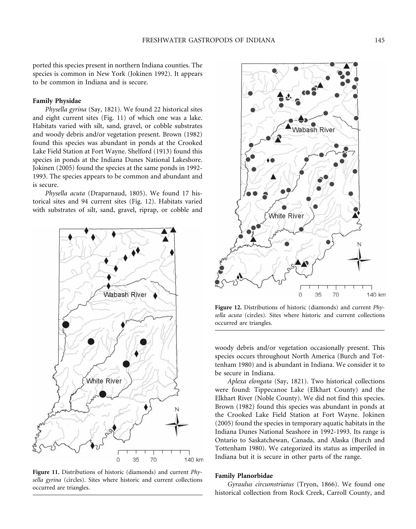species is common in New York (Jokinen 1992). It appears to be common in Indiana and is secure.

# **Family Physidae**

*Physella gyrina* (Say, 1821). We found 22 historical sites and eight current sites (Fig. 11) of which one was a lake. Habitats varied with silt, sand, gravel, or cobble substrates and woody debris and/or vegetation present. Brown (1982) found this species was abundant in ponds at the Crooked Lake Field Station at Fort Wayne. Shelford (1913) found this species in ponds at the Indiana Dunes National Lakeshore. Jokinen (2005) found the species at the same ponds in 1992- 1993. The species appears to be common and abundant and is secure.

*Physella acuta* (Draparnaud, 1805). We found 17 historical sites and 94 current sites (Fig. 12). Habitats varied with substrates of silt, sand, gravel, riprap, or cobble and



**Figure 11.** Distributions of historic (diamonds) and current *Physella gyrina* (circles). Sites where historic and current collections occurred are triangles.



**Figure 12.** Distributions of historic (diamonds) and current *Physella acuta* (circles). Sites where historic and current collections occurred are triangles.

woody debris and/or vegetation occasionally present. This species occurs throughout North America (Burch and Tottenham 1980) and is abundant in Indiana. We consider it to be secure in Indiana.

*Aplexa elongata* (Say, 1821). Two historical collections were found: Tippecanoe Lake (Elkhart County) and the Elkhart River (Noble County). We did not find this species. Brown (1982) found this species was abundant in ponds at the Crooked Lake Field Station at Fort Wayne. Jokinen (2005) found the species in temporary aquatic habitats in the Indiana Dunes National Seashore in 1992-1993. Its range is Ontario to Saskatchewan, Canada, and Alaska (Burch and Tottenham 1980). We categorized its status as imperiled in Indiana but it is secure in other parts of the range.

#### **Family Planorbidae**

*Gyraulus circumstriatus* (Tryon, 1866). We found one historical collection from Rock Creek, Carroll County, and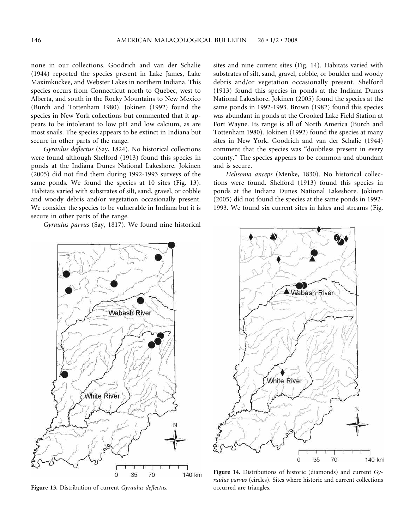none in our collections. Goodrich and van der Schalie (1944) reported the species present in Lake James, Lake Maximkuckee, and Webster Lakes in northern Indiana. This species occurs from Connecticut north to Quebec, west to Alberta, and south in the Rocky Mountains to New Mexico (Burch and Tottenham 1980). Jokinen (1992) found the species in New York collections but commented that it appears to be intolerant to low pH and low calcium, as are most snails. The species appears to be extinct in Indiana but secure in other parts of the range.

*Gyraulus deflectus* (Say, 1824). No historical collections were found although Shelford (1913) found this species in ponds at the Indiana Dunes National Lakeshore. Jokinen (2005) did not find them during 1992-1993 surveys of the same ponds. We found the species at 10 sites (Fig. 13). Habitats varied with substrates of silt, sand, gravel, or cobble and woody debris and/or vegetation occasionally present. We consider the species to be vulnerable in Indiana but it is secure in other parts of the range.

*Gyraulus parvus* (Say, 1817). We found nine historical

sites and nine current sites (Fig. 14). Habitats varied with substrates of silt, sand, gravel, cobble, or boulder and woody debris and/or vegetation occasionally present. Shelford (1913) found this species in ponds at the Indiana Dunes National Lakeshore. Jokinen (2005) found the species at the same ponds in 1992-1993. Brown (1982) found this species was abundant in ponds at the Crooked Lake Field Station at Fort Wayne. Its range is all of North America (Burch and Tottenham 1980). Jokinen (1992) found the species at many sites in New York. Goodrich and van der Schalie (1944) comment that the species was "doubtless present in every county." The species appears to be common and abundant and is secure.

*Helisoma anceps* (Menke, 1830). No historical collections were found. Shelford (1913) found this species in ponds at the Indiana Dunes National Lakeshore. Jokinen (2005) did not found the species at the same ponds in 1992- 1993. We found six current sites in lakes and streams (Fig.



**Figure 13.** Distribution of current *Gyraulus deflectus.*



**Figure 14.** Distributions of historic (diamonds) and current *Gyraulus parvus* (circles). Sites where historic and current collections occurred are triangles.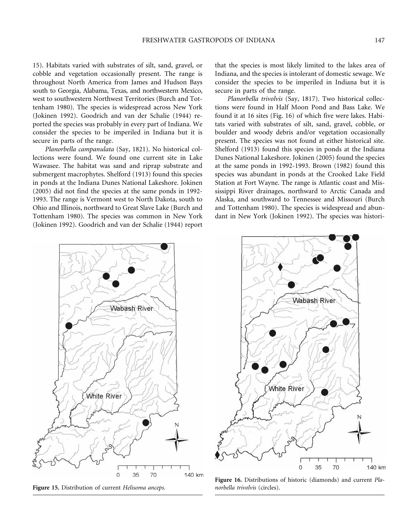15). Habitats varied with substrates of silt, sand, gravel, or cobble and vegetation occasionally present. The range is throughout North America from James and Hudson Bays south to Georgia, Alabama, Texas, and northwestern Mexico, west to southwestern Northwest Territories (Burch and Tottenham 1980). The species is widespread across New York (Jokinen 1992). Goodrich and van der Schalie (1944) reported the species was probably in every part of Indiana. We consider the species to be imperiled in Indiana but it is secure in parts of the range.

*Planorbella campanulata* (Say, 1821). No historical collections were found. We found one current site in Lake Wawasee. The habitat was sand and riprap substrate and submergent macrophytes. Shelford (1913) found this species in ponds at the Indiana Dunes National Lakeshore. Jokinen (2005) did not find the species at the same ponds in 1992- 1993. The range is Vermont west to North Dakota, south to Ohio and Illinois, northward to Great Slave Lake (Burch and Tottenham 1980). The species was common in New York (Jokinen 1992). Goodrich and van der Schalie (1944) report

that the species is most likely limited to the lakes area of Indiana, and the species is intolerant of domestic sewage. We consider the species to be imperiled in Indiana but it is secure in parts of the range.

*Planorbella trivolvis* (Say, 1817). Two historical collections were found in Half Moon Pond and Bass Lake. We found it at 16 sites (Fig. 16) of which five were lakes. Habitats varied with substrates of silt, sand, gravel, cobble, or boulder and woody debris and/or vegetation occasionally present. The species was not found at either historical site. Shelford (1913) found this species in ponds at the Indiana Dunes National Lakeshore. Jokinen (2005) found the species at the same ponds in 1992-1993. Brown (1982) found this species was abundant in ponds at the Crooked Lake Field Station at Fort Wayne. The range is Atlantic coast and Mississippi River drainages, northward to Arctic Canada and Alaska, and southward to Tennessee and Missouri (Burch and Tottenham 1980). The species is widespread and abundant in New York (Jokinen 1992). The species was histori-



**Figure 15.** Distribution of current *Helisoma anceps.*



**Figure 16.** Distributions of historic (diamonds) and current *Planorbella trivolvis* (circles).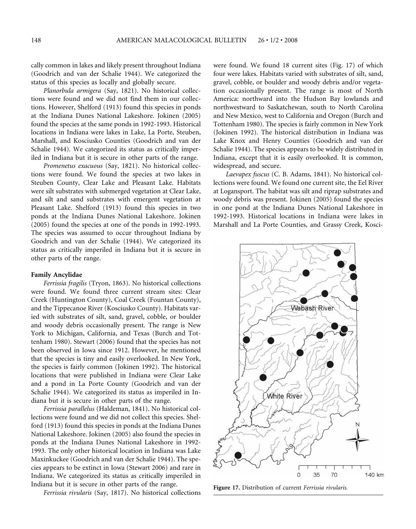cally common in lakes and likely present throughout Indiana (Goodrich and van der Schalie 1944). We categorized the status of this species as locally and globally secure.

*Planorbula armigera* (Say, 1821). No historical collections were found and we did not find them in our collections. However, Shelford (1913) found this species in ponds at the Indiana Dunes National Lakeshore. Jokinen (2005) found the species at the same ponds in 1992-1993. Historical locations in Indiana were lakes in Lake, La Porte, Steuben, Marshall, and Kosciusko Counties (Goodrich and van der Schalie 1944). We categorized its status as critically imperiled in Indiana but it is secure in other parts of the range.

*Promenetus exacuous* (Say, 1821). No historical collections were found. We found the species at two lakes in Steuben County, Clear Lake and Pleasant Lake. Habitats were silt substrates with submerged vegetation at Clear Lake, and silt and sand substrates with emergent vegetation at Pleasant Lake. Shelford (1913) found this species in two ponds at the Indiana Dunes National Lakeshore. Jokinen (2005) found the species at one of the ponds in 1992-1993. The species was assumed to occur throughout Indiana by Goodrich and van der Schalie (1944). We categorized its status as critically imperiled in Indiana but it is secure in other parts of the range.

#### **Family Ancylidae**

*Ferrissia fragilis* (Tryon, 1863). No historical collections were found. We found three current stream sites: Clear Creek (Huntington County), Coal Creek (Fountan County), and the Tippecanoe River (Kosciusko County). Habitats varied with substrates of silt, sand, gravel, cobble, or boulder and woody debris occasionally present. The range is New York to Michigan, California, and Texas (Burch and Tottenham 1980). Stewart (2006) found that the species has not been observed in Iowa since 1912. However, he mentioned that the species is tiny and easily overlooked. In New York, the species is fairly common (Jokinen 1992). The historical locations that were published in Indiana were Clear Lake and a pond in La Porte County (Goodrich and van der Schalie 1944). We categorized its status as imperiled in Indiana but it is secure in other parts of the range.

*Ferrissia parallelus* (Haldeman, 1841). No historical collections were found and we did not collect this species. Shelford (1913) found this species in ponds at the Indiana Dunes National Lakeshore. Jokinen (2005) also found the species in ponds at the Indiana Dunes National Lakeshore in 1992- 1993. The only other historical location in Indiana was Lake Maxinkuckee (Goodrich and van der Schalie 1944). The species appears to be extinct in Iowa (Stewart 2006) and rare in Indiana. We categorized its status as critically imperiled in Indiana but it is secure in other parts of the range.

*Ferrissia rivularis* (Say, 1817). No historical collections

were found. We found 18 current sites (Fig. 17) of which four were lakes. Habitats varied with substrates of silt, sand, gravel, cobble, or boulder and woody debris and/or vegetation occasionally present. The range is most of North America: northward into the Hudson Bay lowlands and northwestward to Saskatchewan, south to North Carolina and New Mexico, west to California and Oregon (Burch and Tottenham 1980). The species is fairly common in New York (Jokinen 1992). The historical distribution in Indiana was Lake Knox and Henry Counties (Goodrich and van der Schalie 1944). The species appears to be widely distributed in Indiana, except that it is easily overlooked. It is common, widespread, and secure.

*Laevapex fuscus* (C. B. Adams, 1841). No historical collections were found. We found one current site, the Eel River at Logansport. The habitat was silt and riprap substrates and woody debris was present. Jokinen (2005) found the species in one pond at the Indiana Dunes National Lakeshore in 1992-1993. Historical locations in Indiana were lakes in Marshall and La Porte Counties, and Grassy Creek, Kosci-



**Figure 17.** Distribution of current *Ferrissia rivularis.*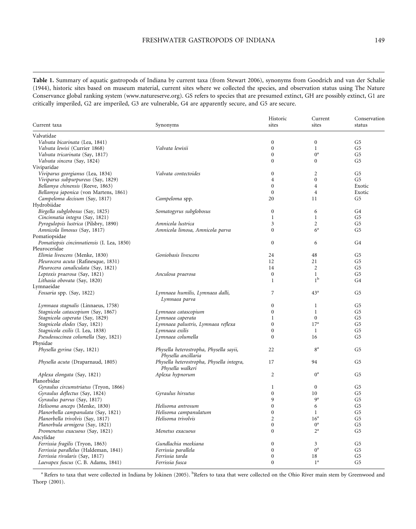**Table 1.** Summary of aquatic gastropods of Indiana by current taxa (from Stewart 2006), synonyms from Goodrich and van der Schalie (1944), historic sites based on museum material, current sites where we collected the species, and observation status using The Nature Conservance global ranking system (www.natureserve.org). GS refers to species that are presumed extinct, GH are possibly extinct, G1 are critically imperiled, G2 are imperiled, G3 are vulnerable, G4 are apparently secure, and G5 are secure.

| Current taxa                               | Synonyms                                                       | Historic<br>sites | Current<br>sites                 | Conservation<br>status |
|--------------------------------------------|----------------------------------------------------------------|-------------------|----------------------------------|------------------------|
| Valvatidae                                 |                                                                |                   |                                  |                        |
| Valvata bicarinata (Lea, 1841)             |                                                                | $\mathbf{0}$      | $\mathbf{0}$                     | G5                     |
| Valvata lewisi (Currier 1868)              | Valvata lewisii                                                | $\mathbf{0}$      | $\mathbf{1}$                     | G5                     |
| Valvata tricarinata (Say, 1817)            |                                                                | $\mathbf{0}$      | $0^a$                            | G5                     |
| Valvata sincera (Say, 1824)                |                                                                | $\Omega$          | $\Omega$                         | G5                     |
| Viviparidae                                |                                                                |                   |                                  |                        |
| Viviparus georgianus (Lea, 1834)           | Valvata contectoides                                           | $\mathbf{0}$      | $\overline{2}$                   | G <sub>5</sub>         |
| Viviparus subpurpureus (Say, 1829)         |                                                                | $\overline{4}$    | $\theta$                         | G <sub>5</sub>         |
| Bellamya chinensis (Reeve, 1863)           |                                                                | $\Omega$          | $\overline{4}$                   | Exotic                 |
| Bellamya japonica (von Martens, 1861)      |                                                                | $\mathbf{0}$      | $\overline{4}$                   | Exotic                 |
| Campeloma decisum (Say, 1817)              | Campeloma spp.                                                 | 20                | 11                               | G5                     |
| Hydrobiidae                                |                                                                |                   |                                  |                        |
|                                            |                                                                | $\mathbf{0}$      | 6                                | G4                     |
| Birgella subglobosus (Say, 1825)           | Somatogyrus subglobosus                                        | $\mathbf{1}$      | $\mathbf{1}$                     | G5                     |
| Cincinnatia integra (Say, 1821)            |                                                                |                   |                                  |                        |
| Pyrogulopsis lustrica (Pilsbry, 1890)      | Amnicola lustrica                                              | 3                 | $\overline{2}$<br>6 <sup>a</sup> | G5                     |
| Amnicola limosus (Say, 1817)               | Amnicola limosa, Amnicola parva                                | $\theta$          |                                  | G5                     |
| Pomatiopsidae                              |                                                                |                   |                                  |                        |
| Pomatiopsis cincinnatiensis (I. Lea, 1850) |                                                                | $\mathbf{0}$      | 6                                | G4                     |
| Pleuroceridae                              |                                                                |                   |                                  |                        |
| Elimia livescens (Menke, 1830)             | Goniobasis livescens                                           | 24                | 48                               | G5                     |
| Pleurocera acuta (Rafinesque, 1831)        |                                                                | 12                | 21                               | G5                     |
| Pleurocera canaliculata (Say, 1821)        |                                                                | 14                | 2                                | G5                     |
| Leptoxis praerosa (Say, 1821)              | Anculosa praerosa                                              | $\Omega$          | $\mathbf{1}$                     | G5                     |
| Lithasia obovata (Say, 1820)               |                                                                | $\mathbf{1}$      | 1 <sup>b</sup>                   | G4                     |
| Lymnaeidae                                 |                                                                |                   |                                  |                        |
| Fossaria spp. (Say, 1822)                  | Lymnaea humilis, Lymnaea dalli,                                | 7                 | 43 <sup>a</sup>                  | G <sub>5</sub>         |
|                                            | Lymnaea parva                                                  |                   |                                  |                        |
| Lymnaea stagnalis (Linnaeus, 1758)         |                                                                | $\mathbf{0}$      | 1                                | G5                     |
| Stagnicola catascopium (Say, 1867)         | Lymnaea catascopium                                            | $\mathbf{0}$      | $\mathbf{1}$                     | G5                     |
| Stagnicola caperata (Say, 1829)            | Lymnaea caperata                                               | $\mathbf{1}$      | $\Omega$                         | G5                     |
| Stagnicola elodes (Say, 1821)              | Lymnaea palustris, Lymnaea reflexa                             | $\mathbf{0}$      | 17 <sup>a</sup>                  | G5                     |
| Stagnicola exilis (I. Lea, 1838)           | Lymnaea exilis                                                 | $\Omega$          | 1                                | G5                     |
| Pseudosuccinea columella (Say, 1821)       | Lymnaea columella                                              | $\theta$          | 16                               | G5                     |
| Physidae                                   |                                                                |                   |                                  |                        |
| Physella gyrina (Say, 1821)                | Physella heterostropha, Physella sayii,<br>Physella ancillaria | 22                | 8 <sup>a</sup>                   | G5                     |
| Physella acuta (Draparnaud, 1805)          | Physella heterostropha, Physella integra,<br>Physella walkeri  | 17                | 94                               | G5                     |
| Aplexa elongata (Say, 1821)                | Aplexa hypnorum                                                | $\overline{2}$    | $0^a$                            | G5                     |
| Planorbidae                                |                                                                |                   |                                  |                        |
| Gyraulus circumstriatus (Tryon, 1866)      |                                                                | 1                 | $\mathbf{0}$                     | G5                     |
| Gyraulus deflectus (Say, 1824)             | Gyraulus hirsutus                                              | $\mathbf{0}$      | 10                               | G5                     |
| Gyraulus parvus (Say, 1817)                |                                                                | 9                 | 9 <sup>a</sup>                   | G5                     |
| Helisoma anceps (Menke, 1830)              | Helisoma antrosum                                              | $\theta$          | 6                                | G5                     |
| Planorbella campanulata (Say, 1821)        | Helisoma campanulatum                                          | $\mathbf{0}$      | $\mathbf{1}$                     | G5                     |
|                                            | Helisoma trivolvis                                             | $\overline{2}$    | 16 <sup>a</sup>                  | G5                     |
| Planorbella trivolvis (Say, 1817)          |                                                                |                   | $0^a$                            |                        |
| Planorbula armigera (Say, 1821)            |                                                                | $\theta$          |                                  | G <sub>5</sub>         |
| Promenetus exacuous (Say, 1821)            | Menetus exacuous                                               | $\Omega$          | $2^{\mathrm{a}}$                 | G5                     |
| Ancylidae                                  |                                                                |                   |                                  |                        |
| Ferrissia fragilis (Tryon, 1863)           | Gundlachia meekiana                                            | $\Omega$          | 3                                | G5                     |
| Ferrissia parallelus (Haldeman, 1841)      | Ferrissia parallela                                            | $\mathbf{0}$      | $0^a$                            | G5                     |
| Ferrissia rivularis (Say, 1817)            | Ferrissia tarda                                                | $\mathbf{0}$      | 18                               | G5                     |
| Laevapex fuscus (C. B. Adams, 1841)        | Ferrissia fusca                                                | $\mathbf{0}$      | 1 <sup>a</sup>                   | G <sub>5</sub>         |

<sup>a</sup> Refers to taxa that were collected in Indiana by Jokinen (2005). <sup>b</sup>Refers to taxa that were collected on the Ohio River main stem by Greenwood and Thorp (2001).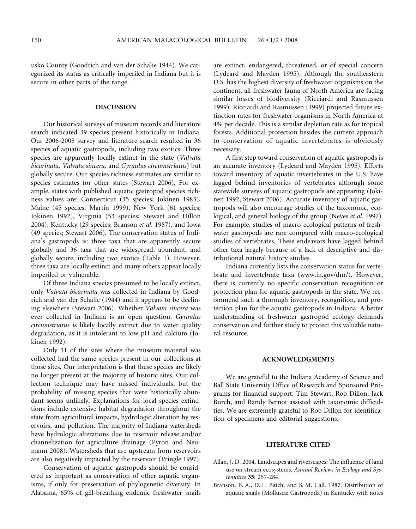usko County (Goodrich and van der Schalie 1944). We categorized its status as critically imperiled in Indiana but it is secure in other parts of the range.

#### **DISCUSSION**

Our historical surveys of museum records and literature search indicated 39 species present historically in Indiana. Our 2006-2008 survey and literature search resulted in 36 species of aquatic gastropods, including two exotics. Three species are apparently locally extinct in the state (*Valvata bicarinata, Valvata sincera,* and *Gyraulus circumstriatus*) but globally secure. Our species richness estimates are similar to species estimates for other states (Stewart 2006). For example, states with published aquatic gastropod species richness values are: Connecticut (35 species; Jokinen 1983), Maine (45 species; Martin 1999), New York (61 species; Jokinen 1992), Virginia (53 species; Stewart and Dillon 2004), Kentucky (29 species; Branson *et al*. 1987), and Iowa (49 species; Stewart 2006). The conservation status of Indiana's gastropods is: three taxa that are apparently secure globally and 36 taxa that are widespread, abundant, and globally secure, including two exotics (Table 1). However, three taxa are locally extinct and many others appear locally imperiled or vulnerable.

Of three Indiana species presumed to be locally extinct, only *Valvata bicarinata* was collected in Indiana by Goodrich and van der Schalie (1944) and it appears to be declining elsewhere (Stewart 2006). Whether *Valvata sincera* was ever collected in Indiana is an open question. *Gyraulus circumstriatus* is likely locally extinct due to water quality degradation, as it is intolerant to low pH and calcium (Jokinen 1992).

Only 31 of the sites where the museum material was collected had the same species present in our collections at those sites. Our interpretation is that these species are likely no longer present at the majority of historic sites. Our collection technique may have missed individuals, but the probability of missing species that were historically abundant seems unlikely. Explanations for local species extinctions include extensive habitat degradation throughout the state from agricultural impacts, hydrologic alteration by reservoirs, and pollution. The majority of Indiana watersheds have hydrologic alterations due to reservoir release and/or channelization for agriculture drainage (Pyron and Neumann 2008). Watersheds that are upstream from reservoirs are also negatively impacted by the reservoir (Pringle 1997).

Conservation of aquatic gastropods should be considered as important as conservation of other aquatic organisms, if only for preservation of phylogenetic diversity. In Alabama, 65% of gill-breathing endemic freshwater snails are extinct, endangered, threatened, or of special concern (Lydeard and Mayden 1995). Although the southeastern U.S. has the highest diversity of freshwater organisms on the continent, all freshwater fauna of North America are facing similar losses of biodiversity (Ricciardi and Rasmussen 1999). Ricciardi and Rasmussen (1999) projected future extinction rates for freshwater organisms in North America at 4% per decade. This is a similar depletion rate as for tropical forests. Additional protection besides the current approach to conservation of aquatic invertebrates is obviously necessary.

A first step toward conservation of aquatic gastropods is an accurate inventory (Lydeard and Mayden 1995). Efforts toward inventory of aquatic invertebrates in the U.S. have lagged behind inventories of vertebrates although some statewide surveys of aquatic gastropods are appearing (Jokinen 1992, Stewart 2006). Accurate inventory of aquatic gastropods will also encourage studies of the taxonomic, ecological, and general biology of the group (Neves *et al.* 1997). For example, studies of macro-ecological patterns of freshwater gastropods are rare compared with macro-ecological studies of vertebrates. These endeavors have lagged behind other taxa largely because of a lack of descriptive and distributional natural history studies.

Indiana currently lists the conservation status for vertebrate and invertebrate taxa (www.in.gov/dnr/). However, there is currently no specific conservation recognition or protection plan for aquatic gastropods in the state. We recommend such a thorough inventory, recognition, and protection plan for the aquatic gastropods in Indiana. A better understanding of freshwater gastropod ecology demands conservation and further study to protect this valuable natural resource.

## **ACKNOWLEDGMENTS**

We are grateful to the Indiana Academy of Science and Ball State University Office of Research and Sponsored Programs for financial support. Tim Stewart, Rob Dillon, Jack Burch, and Randy Bernot assisted with taxonomic difficulties. We are extremely grateful to Rob Dillon for identification of specimens and editorial suggestions.

#### **LITERATURE CITED**

- Allan, J. D. 2004. Landscapes and riverscapes: The influence of land use on stream ecosystems. *Annual Reviews in Ecology and Systematics* **35**: 257-284.
- Branson, B. A., D. L. Batch, and S. M. Call. 1987. Distribution of aquatic snails (Mollusca: Gastropoda) in Kentucky with notes